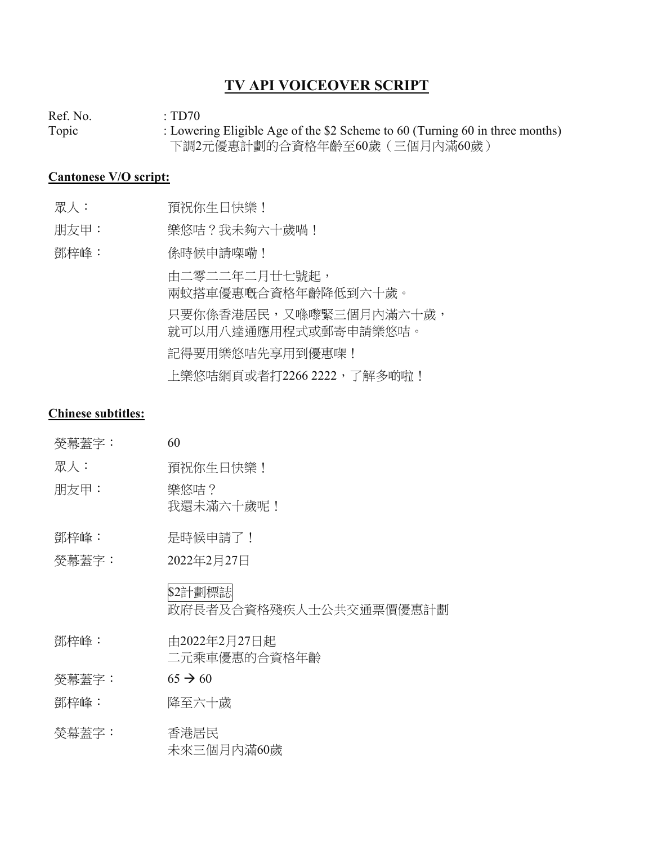## **TV API VOICEOVER SCRIPT**

 $Ref. No. : T<sub>D70</sub>$ Topic : Lowering Eligible Age of the \$2 Scheme to 60 (Turning 60 in three months) 下調2元優惠計劃的合資格年齡至60歲(三個月內滿60歲)

## **Cantonese V/O script:**

- 眾人: 預祝你生日快樂!
- 朋友甲: 樂悠咭?我未夠六十歲喎!
- 鄧梓峰: 係時候申請㗎嘞!

由二零二二年二月廿七號起, 兩蚊搭車優惠嘅合資格年齡降低到六十歲。 只要你係香港居民,又喺嚟緊三個月內滿六十歲, 就可以用八達通應用程式或郵寄申請樂悠咭。 記得要用樂悠咭先享用到優惠㗎! 上樂悠咭網頁或者打2266 2222, 了解多啲啦!

## **Chinese subtitles:**

| 熒幕蓋字: | 60                                |
|-------|-----------------------------------|
| 眾人:   | 預祝你生日快樂!                          |
| 朋友甲:  | 樂悠咭?<br>我還未滿六十歲呢!                 |
| 鄧梓峰:  | 是時候申請了!                           |
| 熒幕蓋字: | 2022年2月27日                        |
|       | \$2計劃標誌<br>政府長者及合資格殘疾人士公共交通票價優惠計劃 |
| 鄧梓峰:  | 由2022年2月27日起<br>二元乘車優惠的合資格年齡      |
| 熒幕蓋字: | $65 \rightarrow 60$               |
| 鄧梓峰:  | 降至六十歲                             |
| 熒幕蓋字: | 香港居民<br>未來三個月內滿60歲                |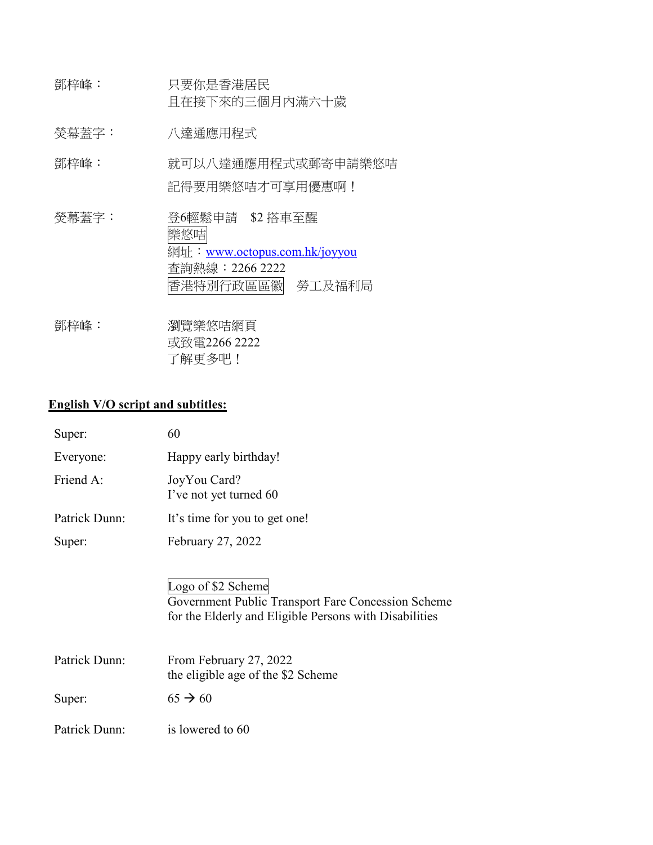鄧梓峰: 只要你是香港居民 且在接下來的三個月內滿六十歲

熒幕蓋字: 八達通應用程式

鄧梓峰: 就可以八達通應用程式或郵寄申請樂悠咭 記得要用樂悠咭才可享用優惠啊!

熒幕蓋字: 登6輕鬆申請 \$2 搭車至醒 樂悠咭 網址: [www.octopus.com.hk/joyyou](http://www.octopus.com.hk/joyyou) 查詢熱線:2266 2222 香港特別行政區區徽 勞工及福利局

鄧梓峰: 瀏覽樂悠咭網頁 或致電2266 2222 了解更多吧!

## **English V/O script and subtitles:**

| Super:        | 60                                                                                                                                 |
|---------------|------------------------------------------------------------------------------------------------------------------------------------|
| Everyone:     | Happy early birthday!                                                                                                              |
| Friend A:     | JoyYou Card?<br>I've not yet turned 60                                                                                             |
| Patrick Dunn: | It's time for you to get one!                                                                                                      |
| Super:        | February 27, 2022                                                                                                                  |
|               | Logo of \$2 Scheme<br>Government Public Transport Fare Concession Scheme<br>for the Elderly and Eligible Persons with Disabilities |
| Patrick Dunn: | From February 27, 2022<br>the eligible age of the \$2 Scheme                                                                       |
| Super:        | $65 \rightarrow 60$                                                                                                                |
| Patrick Dunn: | is lowered to 60                                                                                                                   |